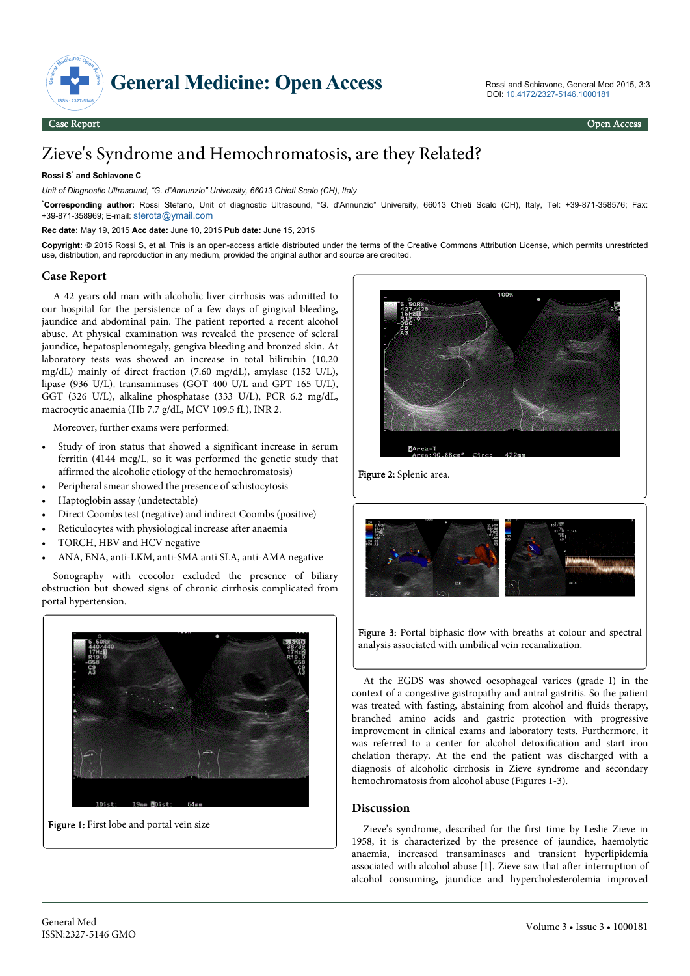

# Zieve's Syndrome and Hemochromatosis, are they Related?

#### **Rossi S**\*  **and Schiavone C**

*Unit of Diagnostic Ultrasound, "G. d'Annunzio" University, 66013 Chieti Scalo (CH), Italy* 

\***Corresponding author:** Rossi Stefano, Unit of diagnostic Ultrasound, "G. d'Annunzio" University, 66013 Chieti Scalo (CH), Italy, Tel: +39-871-358576; Fax: +39-871-358969; E-mail: [sterota@ymail.com](mailto:sterota@ymail.com)

#### **Rec date:** May 19, 2015 **Acc date:** June 10, 2015 **Pub date:** June 15, 2015

**Copyright:** © 2015 Rossi S, et al. This is an open-access article distributed under the terms of the Creative Commons Attribution License, which permits unrestricted use, distribution, and reproduction in any medium, provided the original author and source are credited.

### **Case Report**

A 42 years old man with alcoholic liver cirrhosis was admitted to our hospital for the persistence of a few days of gingival bleeding, jaundice and abdominal pain. The patient reported a recent alcohol abuse. At physical examination was revealed the presence of scleral jaundice, hepatosplenomegaly, gengiva bleeding and bronzed skin. At laboratory tests was showed an increase in total bilirubin (10.20 mg/dL) mainly of direct fraction (7.60 mg/dL), amylase (152 U/L), lipase (936 U/L), transaminases (GOT 400 U/L and GPT 165 U/L), GGT (326 U/L), alkaline phosphatase (333 U/L), PCR 6.2 mg/dL, macrocytic anaemia (Hb 7.7 g/dL, MCV 109.5 fL), INR 2.

Moreover, further exams were performed:

- Study of iron status that showed a significant increase in serum ferritin (4144 mcg/L, so it was performed the genetic study that affirmed the alcoholic etiology of the hemochromatosis)
- Peripheral smear showed the presence of schistocytosis
- Haptoglobin assay (undetectable)
- Direct Coombs test (negative) and indirect Coombs (positive)
- Reticulocytes with physiological increase after anaemia
- TORCH, HBV and HCV negative
- ANA, ENA, anti-LKM, anti-SMA anti SLA, anti-AMA negative

Sonography with ecocolor excluded the presence of biliary obstruction but showed signs of chronic cirrhosis complicated from portal hypertension.



Figure 1: First lobe and portal vein size



Figure 2: Splenic area.



Figure 3: Portal biphasic flow with breaths at colour and spectral analysis associated with umbilical vein recanalization.

At the EGDS was showed oesophageal varices (grade I) in the context of a congestive gastropathy and antral gastritis. So the patient was treated with fasting, abstaining from alcohol and fluids therapy, branched amino acids and gastric protection with progressive improvement in clinical exams and laboratory tests. Furthermore, it was referred to a center for alcohol detoxification and start iron chelation therapy. At the end the patient was discharged with a diagnosis of alcoholic cirrhosis in Zieve syndrome and secondary hemochromatosis from alcohol abuse (Figures 1-3).

### **Discussion**

Zieve's syndrome, described for the first time by Leslie Zieve in 1958, it is characterized by the presence of jaundice, haemolytic anaemia, increased transaminases and transient hyperlipidemia associated with alcohol abuse [1]. Zieve saw that after interruption of alcohol consuming, jaundice and hypercholesterolemia improved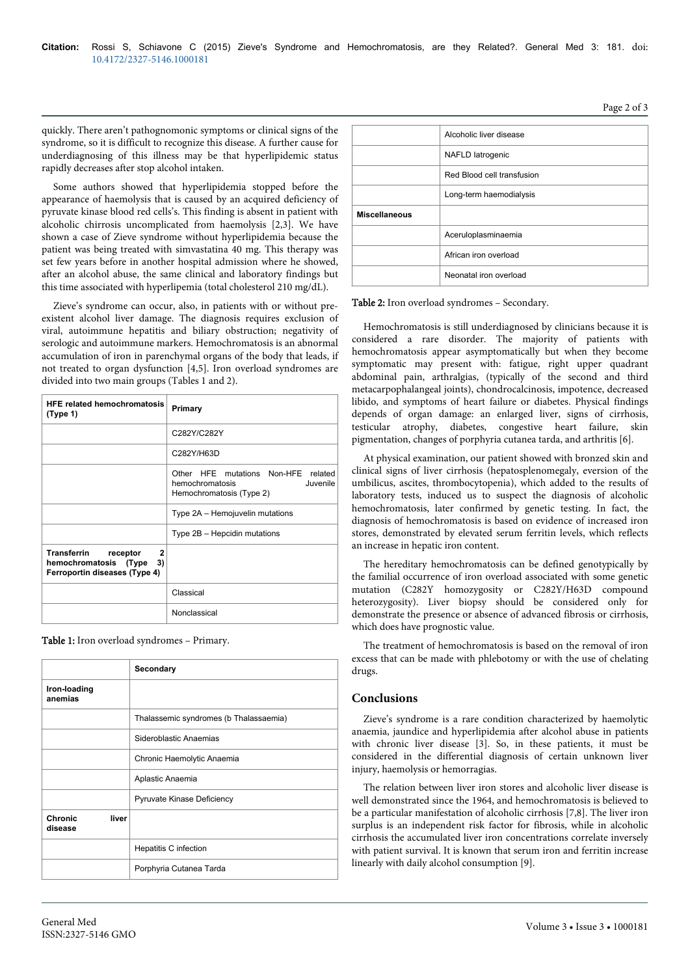quickly. There aren't pathognomonic symptoms or clinical signs of the syndrome, so it is difficult to recognize this disease. A further cause for underdiagnosing of this illness may be that hyperlipidemic status rapidly decreases after stop alcohol intaken.

Some authors showed that hyperlipidemia stopped before the appearance of haemolysis that is caused by an acquired deficiency of pyruvate kinase blood red cells's. This finding is absent in patient with alcoholic chirrosis uncomplicated from haemolysis [2,3]. We have shown a case of Zieve syndrome without hyperlipidemia because the patient was being treated with simvastatina 40 mg. This therapy was set few years before in another hospital admission where he showed, after an alcohol abuse, the same clinical and laboratory findings but this time associated with hyperlipemia (total cholesterol 210 mg/dL).

Zieve's syndrome can occur, also, in patients with or without preexistent alcohol liver damage. The diagnosis requires exclusion of viral, autoimmune hepatitis and biliary obstruction; negativity of serologic and autoimmune markers. Hemochromatosis is an abnormal accumulation of iron in parenchymal organs of the body that leads, if not treated to organ dysfunction [4,5]. Iron overload syndromes are divided into two main groups (Tables 1 and 2).

| <b>HFE related hemochromatosis</b><br>(Type 1)                                                          | Primary                                                                                           |
|---------------------------------------------------------------------------------------------------------|---------------------------------------------------------------------------------------------------|
|                                                                                                         | C282Y/C282Y                                                                                       |
|                                                                                                         | C282Y/H63D                                                                                        |
|                                                                                                         | mutations Non-HFE related<br>Other HFE<br>Juvenile<br>hemochromatosis<br>Hemochromatosis (Type 2) |
|                                                                                                         | Type 2A - Hemojuvelin mutations                                                                   |
|                                                                                                         | Type 2B - Hepcidin mutations                                                                      |
| Transferrin<br>$\mathbf{2}$<br>receptor<br>hemochromatosis (Type<br>3)<br>Ferroportin diseases (Type 4) |                                                                                                   |
|                                                                                                         | Classical                                                                                         |
|                                                                                                         | Nonclassical                                                                                      |

Table 1: Iron overload syndromes – Primary.

|                                    | Secondary                              |
|------------------------------------|----------------------------------------|
| Iron-loading<br>anemias            |                                        |
|                                    | Thalassemic syndromes (b Thalassaemia) |
|                                    | Sideroblastic Anaemias                 |
|                                    | Chronic Haemolytic Anaemia             |
|                                    | Aplastic Anaemia                       |
|                                    | Pyruvate Kinase Deficiency             |
| <b>Chronic</b><br>liver<br>disease |                                        |
|                                    | Hepatitis C infection                  |
|                                    | Porphyria Cutanea Tarda                |

|                      | Alcoholic liver disease    |
|----------------------|----------------------------|
|                      | NAFLD latrogenic           |
|                      | Red Blood cell transfusion |
|                      | Long-term haemodialysis    |
| <b>Miscellaneous</b> |                            |
|                      | Aceruloplasminaemia        |
|                      | African iron overload      |
|                      | Neonatal iron overload     |

#### Table 2: Iron overload syndromes – Secondary.

Hemochromatosis is still underdiagnosed by clinicians because it is considered a rare disorder. The majority of patients with hemochromatosis appear asymptomatically but when they become symptomatic may present with: fatigue, right upper quadrant abdominal pain, arthralgias, (typically of the second and third metacarpophalangeal joints), chondrocalcinosis, impotence, decreased libido, and symptoms of heart failure or diabetes. Physical findings depends of organ damage: an enlarged liver, signs of cirrhosis, testicular atrophy, diabetes, congestive heart failure, skin pigmentation, changes of porphyria cutanea tarda, and arthritis [6].

At physical examination, our patient showed with bronzed skin and clinical signs of liver cirrhosis (hepatosplenomegaly, eversion of the umbilicus, ascites, thrombocytopenia), which added to the results of laboratory tests, induced us to suspect the diagnosis of alcoholic hemochromatosis, later confirmed by genetic testing. In fact, the diagnosis of hemochromatosis is based on evidence of increased iron stores, demonstrated by elevated serum ferritin levels, which reflects an increase in hepatic iron content.

The hereditary hemochromatosis can be defined genotypically by the familial occurrence of iron overload associated with some genetic mutation (C282Y homozygosity or C282Y/H63D compound heterozygosity). Liver biopsy should be considered only for demonstrate the presence or absence of advanced fibrosis or cirrhosis, which does have prognostic value.

The treatment of hemochromatosis is based on the removal of iron excess that can be made with phlebotomy or with the use of chelating drugs.

## **Conclusions**

Zieve's syndrome is a rare condition characterized by haemolytic anaemia, jaundice and hyperlipidemia after alcohol abuse in patients with chronic liver disease [3]. So, in these patients, it must be considered in the differential diagnosis of certain unknown liver injury, haemolysis or hemorragias.

The relation between liver iron stores and alcoholic liver disease is well demonstrated since the 1964, and hemochromatosis is believed to be a particular manifestation of alcoholic cirrhosis [7,8]. The liver iron surplus is an independent risk factor for fibrosis, while in alcoholic cirrhosis the accumulated liver iron concentrations correlate inversely with patient survival. It is known that serum iron and ferritin increase linearly with daily alcohol consumption [9].